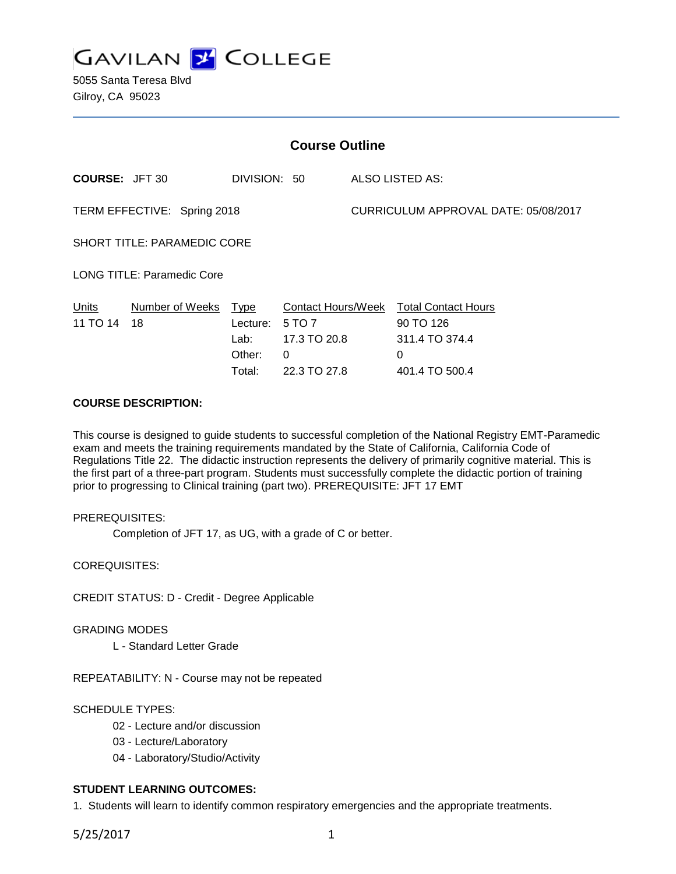

5055 Santa Teresa Blvd Gilroy, CA 95023

| <b>Course Outline</b>              |                       |                                                     |                                             |                                      |                                                                                              |
|------------------------------------|-----------------------|-----------------------------------------------------|---------------------------------------------|--------------------------------------|----------------------------------------------------------------------------------------------|
| <b>COURSE: JFT 30</b>              |                       | DIVISION: 50                                        |                                             |                                      | <b>ALSO LISTED AS:</b>                                                                       |
| TERM EFFECTIVE: Spring 2018        |                       |                                                     |                                             | CURRICULUM APPROVAL DATE: 05/08/2017 |                                                                                              |
| <b>SHORT TITLE: PARAMEDIC CORE</b> |                       |                                                     |                                             |                                      |                                                                                              |
| <b>LONG TITLE: Paramedic Core</b>  |                       |                                                     |                                             |                                      |                                                                                              |
| Units<br>11 TO 14                  | Number of Weeks<br>18 | <u>Type</u><br>Lecture:<br>Lab:<br>Other:<br>Total: | 5 TO 7<br>17.3 TO 20.8<br>0<br>22.3 TO 27.8 |                                      | Contact Hours/Week Total Contact Hours<br>90 TO 126<br>311.4 TO 374.4<br>0<br>401.4 TO 500.4 |

# **COURSE DESCRIPTION:**

This course is designed to guide students to successful completion of the National Registry EMT-Paramedic exam and meets the training requirements mandated by the State of California, California Code of Regulations Title 22. The didactic instruction represents the delivery of primarily cognitive material. This is the first part of a three-part program. Students must successfully complete the didactic portion of training prior to progressing to Clinical training (part two). PREREQUISITE: JFT 17 EMT

## PREREQUISITES:

Completion of JFT 17, as UG, with a grade of C or better.

COREQUISITES:

CREDIT STATUS: D - Credit - Degree Applicable

## GRADING MODES

L - Standard Letter Grade

REPEATABILITY: N - Course may not be repeated

# SCHEDULE TYPES:

- 02 Lecture and/or discussion
- 03 Lecture/Laboratory
- 04 Laboratory/Studio/Activity

# **STUDENT LEARNING OUTCOMES:**

1. Students will learn to identify common respiratory emergencies and the appropriate treatments.

5/25/2017 1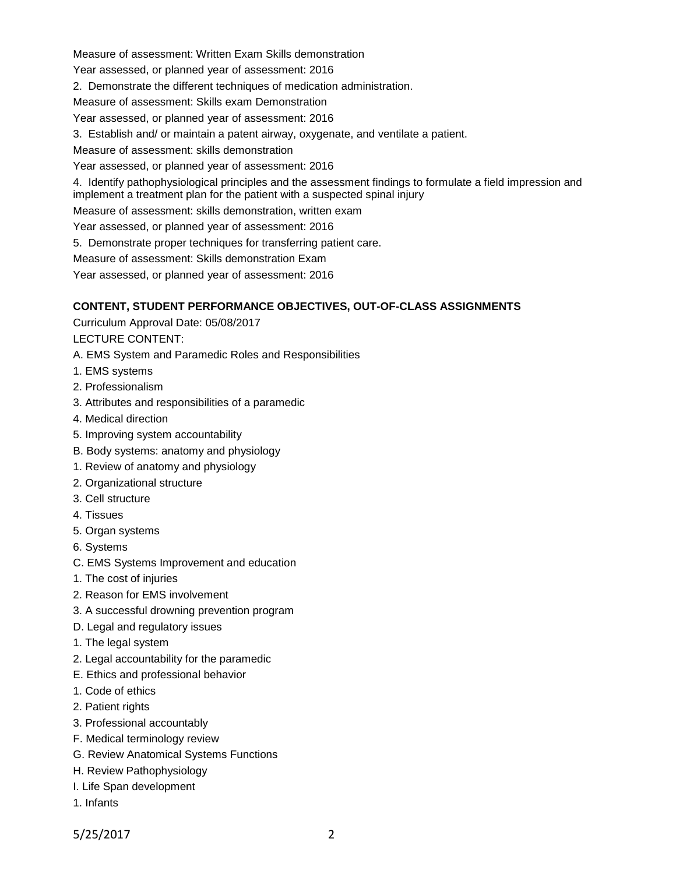Measure of assessment: Written Exam Skills demonstration

Year assessed, or planned year of assessment: 2016

2. Demonstrate the different techniques of medication administration.

Measure of assessment: Skills exam Demonstration

Year assessed, or planned year of assessment: 2016

3. Establish and/ or maintain a patent airway, oxygenate, and ventilate a patient.

Measure of assessment: skills demonstration

Year assessed, or planned year of assessment: 2016

4. Identify pathophysiological principles and the assessment findings to formulate a field impression and implement a treatment plan for the patient with a suspected spinal injury

Measure of assessment: skills demonstration, written exam

Year assessed, or planned year of assessment: 2016

5. Demonstrate proper techniques for transferring patient care.

Measure of assessment: Skills demonstration Exam

Year assessed, or planned year of assessment: 2016

# **CONTENT, STUDENT PERFORMANCE OBJECTIVES, OUT-OF-CLASS ASSIGNMENTS**

Curriculum Approval Date: 05/08/2017

LECTURE CONTENT:

A. EMS System and Paramedic Roles and Responsibilities

- 1. EMS systems
- 2. Professionalism
- 3. Attributes and responsibilities of a paramedic
- 4. Medical direction
- 5. Improving system accountability
- B. Body systems: anatomy and physiology
- 1. Review of anatomy and physiology
- 2. Organizational structure
- 3. Cell structure
- 4. Tissues
- 5. Organ systems
- 6. Systems
- C. EMS Systems Improvement and education
- 1. The cost of injuries
- 2. Reason for EMS involvement
- 3. A successful drowning prevention program
- D. Legal and regulatory issues
- 1. The legal system
- 2. Legal accountability for the paramedic
- E. Ethics and professional behavior
- 1. Code of ethics
- 2. Patient rights
- 3. Professional accountably
- F. Medical terminology review
- G. Review Anatomical Systems Functions
- H. Review Pathophysiology
- I. Life Span development
- 1. Infants

5/25/2017 2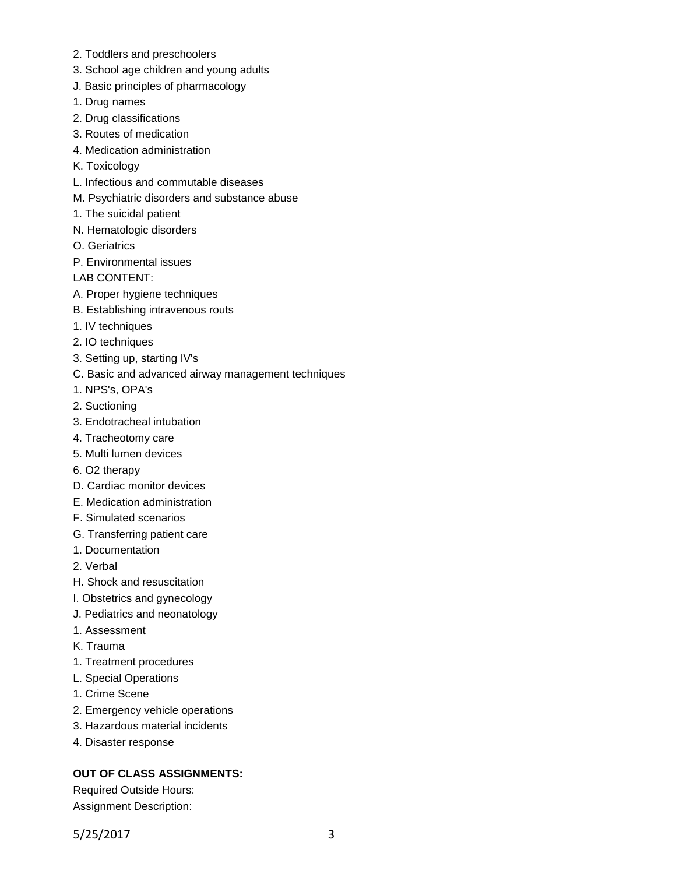- 2. Toddlers and preschoolers
- 3. School age children and young adults
- J. Basic principles of pharmacology
- 1. Drug names
- 2. Drug classifications
- 3. Routes of medication
- 4. Medication administration
- K. Toxicology
- L. Infectious and commutable diseases
- M. Psychiatric disorders and substance abuse
- 1. The suicidal patient
- N. Hematologic disorders
- O. Geriatrics
- P. Environmental issues
- LAB CONTENT:
- A. Proper hygiene techniques
- B. Establishing intravenous routs
- 1. IV techniques
- 2. IO techniques
- 3. Setting up, starting IV's
- C. Basic and advanced airway management techniques
- 1. NPS's, OPA's
- 2. Suctioning
- 3. Endotracheal intubation
- 4. Tracheotomy care
- 5. Multi lumen devices
- 6. O2 therapy
- D. Cardiac monitor devices
- E. Medication administration
- F. Simulated scenarios
- G. Transferring patient care
- 1. Documentation
- 2. Verbal
- H. Shock and resuscitation
- I. Obstetrics and gynecology
- J. Pediatrics and neonatology
- 1. Assessment
- K. Trauma
- 1. Treatment procedures
- L. Special Operations
- 1. Crime Scene
- 2. Emergency vehicle operations
- 3. Hazardous material incidents
- 4. Disaster response

# **OUT OF CLASS ASSIGNMENTS:**

Required Outside Hours: Assignment Description: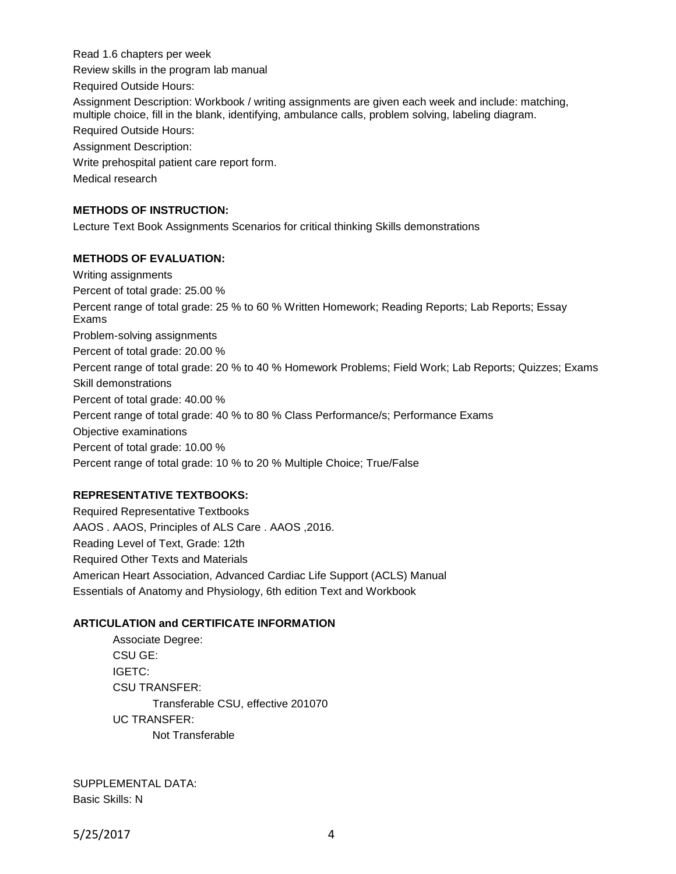Read 1.6 chapters per week Review skills in the program lab manual Required Outside Hours: Assignment Description: Workbook / writing assignments are given each week and include: matching, multiple choice, fill in the blank, identifying, ambulance calls, problem solving, labeling diagram. Required Outside Hours: Assignment Description: Write prehospital patient care report form. Medical research

## **METHODS OF INSTRUCTION:**

Lecture Text Book Assignments Scenarios for critical thinking Skills demonstrations

## **METHODS OF EVALUATION:**

Writing assignments Percent of total grade: 25.00 % Percent range of total grade: 25 % to 60 % Written Homework; Reading Reports; Lab Reports; Essay Exams Problem-solving assignments Percent of total grade: 20.00 % Percent range of total grade: 20 % to 40 % Homework Problems; Field Work; Lab Reports; Quizzes; Exams Skill demonstrations Percent of total grade: 40.00 % Percent range of total grade: 40 % to 80 % Class Performance/s; Performance Exams Objective examinations Percent of total grade: 10.00 % Percent range of total grade: 10 % to 20 % Multiple Choice; True/False

## **REPRESENTATIVE TEXTBOOKS:**

Required Representative Textbooks AAOS . AAOS, Principles of ALS Care . AAOS ,2016. Reading Level of Text, Grade: 12th Required Other Texts and Materials American Heart Association, Advanced Cardiac Life Support (ACLS) Manual Essentials of Anatomy and Physiology, 6th edition Text and Workbook

## **ARTICULATION and CERTIFICATE INFORMATION**

Associate Degree: CSU GE: IGETC: CSU TRANSFER: Transferable CSU, effective 201070 UC TRANSFER: Not Transferable

SUPPLEMENTAL DATA: Basic Skills: N

5/25/2017 4